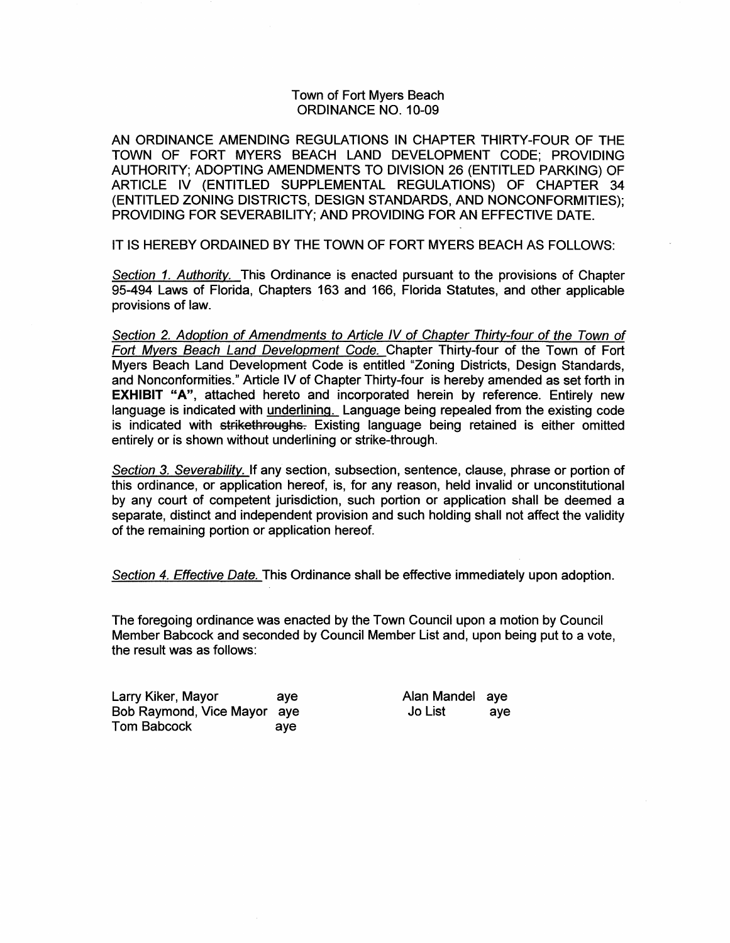# Town of Fort Myers Beach ORDINANCE NO. 10-09

AN ORDINANCE AMENDING REGULATIONS IN CHAPTER THIRTY-FOUR OF THE TOWN OF FORT MYERS BEACH LAND DEVELOPMENT CODE; PROVIDING AUTHORITY; ADOPTING AMENDMENTS TO DIVISION 26 (ENTITLED PARKING) OF ARTICLE IV (ENTITLED SUPPLEMENTAL REGULATIONS) OF CHAPTER 34 (ENTITLED ZONING DISTRICTS, DESIGN STANDARDS, AND NONCONFORMITIES); PROVIDING FOR SEVERABILITY; AND PROVIDING FOR AN EFFECTIVE DATE.

IT IS HEREBY ORDAINED BY THE TOWN OF FORT MYERS BEACH AS FOLLOWS:

Section 1. Authority. This Ordinance is enacted pursuant to the provisions of Chapter 95-494 Laws of Florida, Chapters 163 and 166, Florida Statutes, and other applicable provisions of law.

Section 2. Adoption of Amendments to Article IV of Chapter Thirty-four of the Town of Fort Myers Beach Land Development Code. Chapter Thirty-four of the Town of Fort Myers Beach Land Development Code is entitled "Zoning Districts, Design Standards, and Nonconformities." Article IV of Chapter Thirty-four is hereby amended as set forth in **EXHIBIT "A", attached hereto and incorporated herein by reference. Entirely new** language is indicated with *underlining.* Language being repealed from the existing code is indicated with strikethroughs. Existing language being retained is either omitted entirely or is shown without underlining or strike-through.

Section 3. Severability. If any section, subsection, sentence, clause, phrase or portion of this ordinance, or application hereof, is, for any reason, held invalid or unconstitutional by any court of competent jurisdiction, such portion or application shall be deemed a separate, distinct and independent provision and such holding shall not affect the validity of the remaining portion or application hereof.

Section 4. Effective Date. This Ordinance shall be effective immediately upon adoption.

The foregoing ordinance was enacted by the Town Council upon a motion by Council Member Babcock and seconded by Council Member List and, upon being put to a vote, the result was as follows:

Larry Kiker, Mayor aye Bob Raymond, Vice Mayor aye Tom Babcock aye

Alan Mandel aye Jo List aye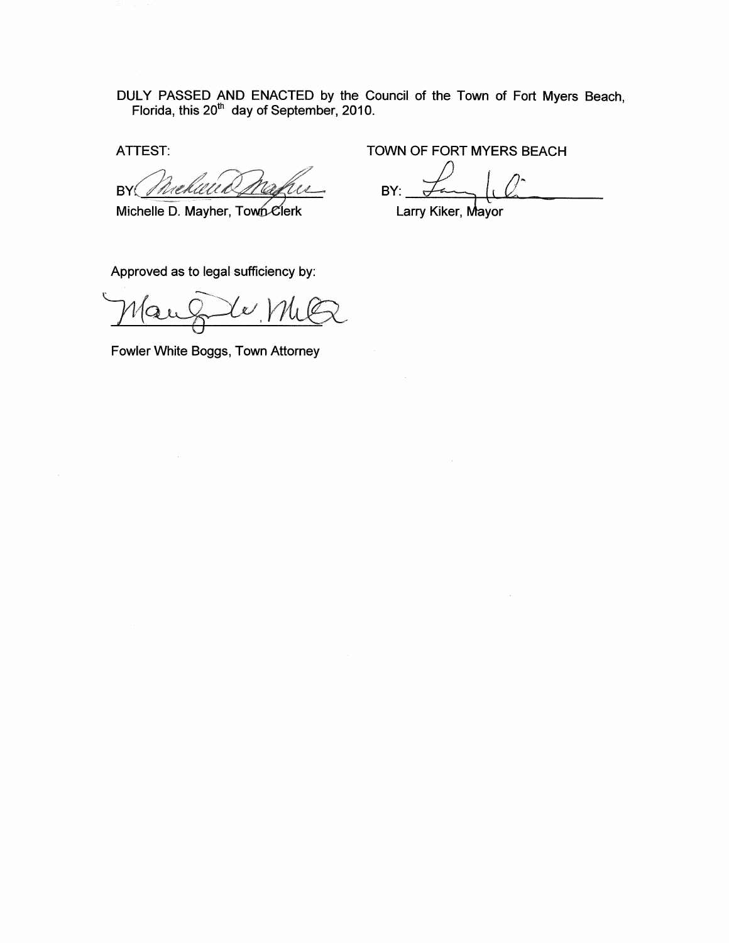DULY PASSED AND ENACTED by the Council of the Town of Fort Myers Beach, Florida, this 20 $^{\text{th}}$  day of September, 2010.

BY 1 I.H.A

Michelle D. Mayher, Town Clerk

ATTEST: TOWN OF FORT MYERS BEACH

 $BY:$   $\frac{1}{\sqrt{2}}$ 

Larry Kiker, Mayor

Approved as to legal sufficiency by:

Fowler White Boggs, Town Attorney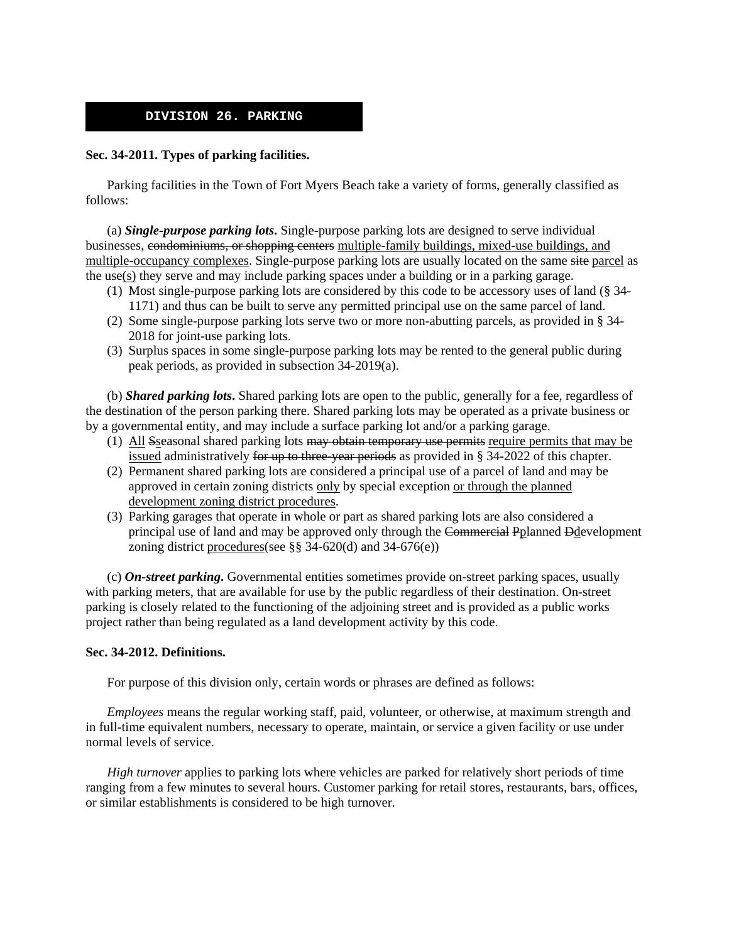# **DIVISION 26. PARKING**

# **Sec. 34-2011. Types of parking facilities.**

 Parking facilities in the Town of Fort Myers Beach take a variety of forms, generally classified as follows:

 (a) *Single-purpose parking lots***.** Single-purpose parking lots are designed to serve individual businesses, condominiums, or shopping centers multiple-family buildings, mixed-use buildings, and multiple-occupancy complexes. Single-purpose parking lots are usually located on the same site parcel as the use(s) they serve and may include parking spaces under a building or in a parking garage.

- (1) Most single-purpose parking lots are considered by this code to be accessory uses of land (§ 34- 1171) and thus can be built to serve any permitted principal use on the same parcel of land.
- (2) Some single-purpose parking lots serve two or more non-abutting parcels, as provided in § 34- 2018 for joint-use parking lots.
- (3) Surplus spaces in some single-purpose parking lots may be rented to the general public during peak periods, as provided in subsection 34-2019(a).

 (b) *Shared parking lots***.** Shared parking lots are open to the public, generally for a fee, regardless of the destination of the person parking there. Shared parking lots may be operated as a private business or by a governmental entity, and may include a surface parking lot and/or a parking garage.

- (1) All Sseasonal shared parking lots may obtain temporary use permits require permits that may be issued administratively for up to three-year periods as provided in  $\S$  34-2022 of this chapter.
- (2) Permanent shared parking lots are considered a principal use of a parcel of land and may be approved in certain zoning districts only by special exception or through the planned development zoning district procedures.
- (3) Parking garages that operate in whole or part as shared parking lots are also considered a principal use of land and may be approved only through the Commercial Pplanned Ddevelopment zoning district procedures(see §§ 34-620(d) and 34-676(e))

 (c) *On-street parking***.** Governmental entities sometimes provide on-street parking spaces, usually with parking meters, that are available for use by the public regardless of their destination. On-street parking is closely related to the functioning of the adjoining street and is provided as a public works project rather than being regulated as a land development activity by this code.

## **Sec. 34-2012. Definitions.**

For purpose of this division only, certain words or phrases are defined as follows:

*Employees* means the regular working staff, paid, volunteer, or otherwise, at maximum strength and in full-time equivalent numbers, necessary to operate, maintain, or service a given facility or use under normal levels of service.

*High turnover* applies to parking lots where vehicles are parked for relatively short periods of time ranging from a few minutes to several hours. Customer parking for retail stores, restaurants, bars, offices, or similar establishments is considered to be high turnover.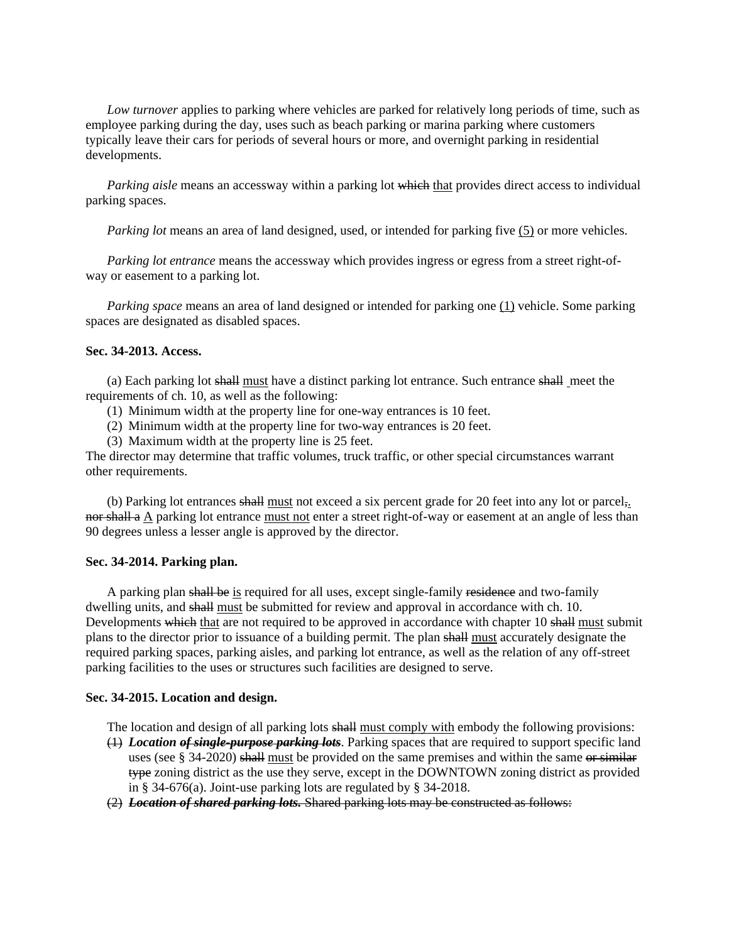*Low turnover* applies to parking where vehicles are parked for relatively long periods of time, such as employee parking during the day, uses such as beach parking or marina parking where customers typically leave their cars for periods of several hours or more, and overnight parking in residential developments.

*Parking aisle* means an accessway within a parking lot which that provides direct access to individual parking spaces.

*Parking lot* means an area of land designed, used, or intended for parking five (5) or more vehicles.

*Parking lot entrance* means the accessway which provides ingress or egress from a street right-ofway or easement to a parking lot.

*Parking space* means an area of land designed or intended for parking one (1) vehicle. Some parking spaces are designated as disabled spaces.

## **Sec. 34-2013. Access.**

 (a) Each parking lot shall must have a distinct parking lot entrance. Such entrance shall meet the requirements of ch. 10, as well as the following:

- (1) Minimum width at the property line for one-way entrances is 10 feet.
- (2) Minimum width at the property line for two-way entrances is 20 feet.
- (3) Maximum width at the property line is 25 feet.

The director may determine that traffic volumes, truck traffic, or other special circumstances warrant other requirements.

 (b) Parking lot entrances shall must not exceed a six percent grade for 20 feet into any lot or parcel,. nor shall a A parking lot entrance must not enter a street right-of-way or easement at an angle of less than 90 degrees unless a lesser angle is approved by the director.

#### **Sec. 34-2014. Parking plan.**

A parking plan shall be is required for all uses, except single-family residence and two-family dwelling units, and shall must be submitted for review and approval in accordance with ch. 10. Developments which that are not required to be approved in accordance with chapter 10 shall must submit plans to the director prior to issuance of a building permit. The plan shall must accurately designate the required parking spaces, parking aisles, and parking lot entrance, as well as the relation of any off-street parking facilities to the uses or structures such facilities are designed to serve.

#### **Sec. 34-2015. Location and design.**

- The location and design of all parking lots shall must comply with embody the following provisions:
- (1) *Location of single-purpose parking lots*. Parking spaces that are required to support specific land uses (see  $\S$  34-2020) shall must be provided on the same premises and within the same or similar type zoning district as the use they serve, except in the DOWNTOWN zoning district as provided in § 34-676(a). Joint-use parking lots are regulated by § 34-2018.
- (2) *Location of shared parking lots.* Shared parking lots may be constructed as follows: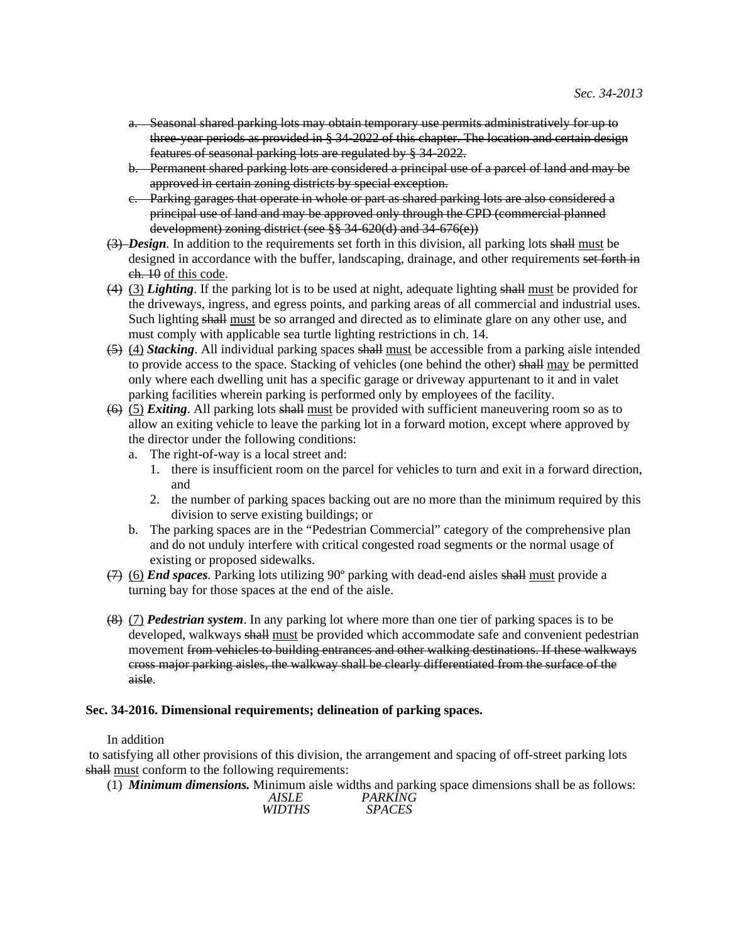- a. Seasonal shared parking lots may obtain temporary use permits administratively for up to three-year periods as provided in § 34-2022 of this chapter. The location and certain design features of seasonal parking lots are regulated by § 34-2022.
- b. Permanent shared parking lots are considered a principal use of a parcel of land and may be approved in certain zoning districts by special exception.
- c. Parking garages that operate in whole or part as shared parking lots are also considered a principal use of land and may be approved only through the CPD (commercial planned development) zoning district (see §§ 34-620(d) and 34-676(e))
- (3) *Design.* In addition to the requirements set forth in this division, all parking lots shall must be designed in accordance with the buffer, landscaping, drainage, and other requirements set forth in ch. 10 of this code.
- (4) (3) *Lighting*. If the parking lot is to be used at night, adequate lighting shall must be provided for the driveways, ingress, and egress points, and parking areas of all commercial and industrial uses. Such lighting shall must be so arranged and directed as to eliminate glare on any other use, and must comply with applicable sea turtle lighting restrictions in ch. 14.
- (5) (4) *Stacking*. All individual parking spaces shall must be accessible from a parking aisle intended to provide access to the space. Stacking of vehicles (one behind the other) shall may be permitted only where each dwelling unit has a specific garage or driveway appurtenant to it and in valet parking facilities wherein parking is performed only by employees of the facility.
- (6) (5) *Exiting*. All parking lots shall must be provided with sufficient maneuvering room so as to allow an exiting vehicle to leave the parking lot in a forward motion, except where approved by the director under the following conditions:
	- a. The right-of-way is a local street and:
		- 1. there is insufficient room on the parcel for vehicles to turn and exit in a forward direction, and
		- 2. the number of parking spaces backing out are no more than the minimum required by this division to serve existing buildings; or
	- b. The parking spaces are in the "Pedestrian Commercial" category of the comprehensive plan and do not unduly interfere with critical congested road segments or the normal usage of existing or proposed sidewalks.
- (7) (6) *End spaces.* Parking lots utilizing 90º parking with dead-end aisles shall must provide a turning bay for those spaces at the end of the aisle.
- (8) (7) *Pedestrian system*. In any parking lot where more than one tier of parking spaces is to be developed, walkways shall must be provided which accommodate safe and convenient pedestrian movement from vehicles to building entrances and other walking destinations. If these walkways cross major parking aisles, the walkway shall be clearly differentiated from the surface of the aisle.

## **Sec. 34-2016. Dimensional requirements; delineation of parking spaces.**

# In addition

 to satisfying all other provisions of this division, the arrangement and spacing of off-street parking lots shall must conform to the following requirements:

(1) *Minimum dimensions.* Minimum aisle widths and parking space dimensions shall be as follows: *AISLE WIDTHS PARKING SPACES*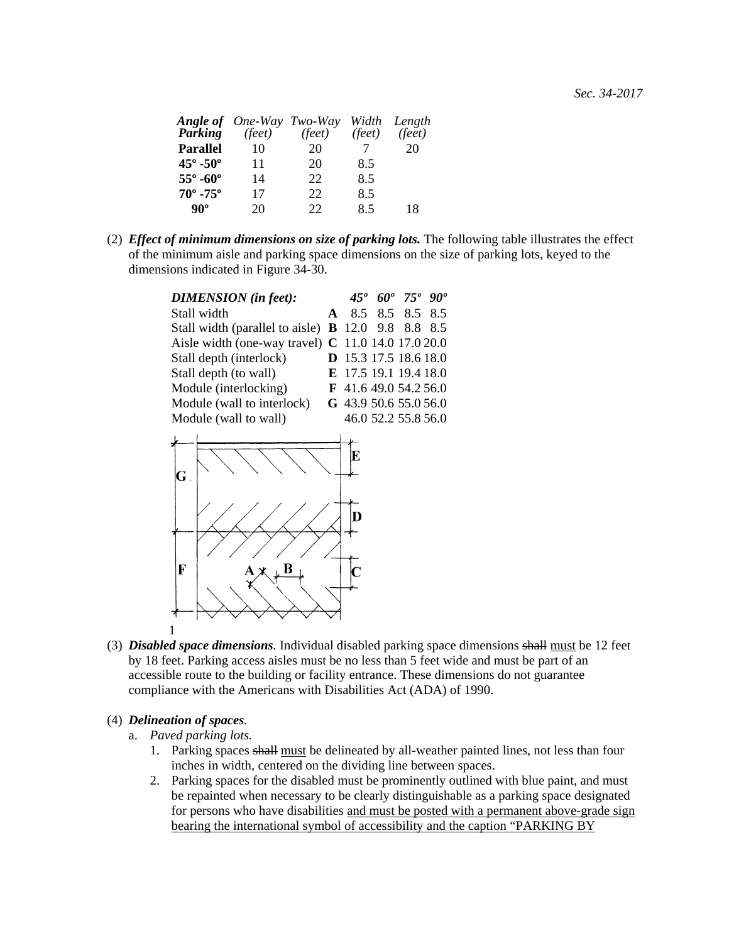|    |     |                                                                 | Width Length    |
|----|-----|-----------------------------------------------------------------|-----------------|
|    |     |                                                                 | $(\bar{feet})$  |
| 10 | 20  |                                                                 | 20              |
| 11 | 20  | 8.5                                                             |                 |
| 14 | 22  | 8.5                                                             |                 |
| 17 | 22. | 8.5                                                             |                 |
| 20 | 22  | 8.5                                                             | 18              |
|    |     | <b>Angle of</b> One-Way Two-Way<br><b>Parking</b> (feet) (feet) | $(\text{feet})$ |

(2) *Effect of minimum dimensions on size of parking lots.* The following table illustrates the effect of the minimum aisle and parking space dimensions on the size of parking lots, keyed to the dimensions indicated in Figure 34-30.

| <b>DIMENSION</b> (in feet):                               |                       | 45 <sup>°</sup> 60 <sup>°</sup> 75 <sup>°</sup> 90 <sup>°</sup> |  |
|-----------------------------------------------------------|-----------------------|-----------------------------------------------------------------|--|
| Stall width                                               | A 8.5 8.5 8.5 8.5     |                                                                 |  |
| Stall width (parallel to aisle) $\bf{B}$ 12.0 9.8 8.8 8.5 |                       |                                                                 |  |
| Aisle width (one-way travel) C 11.0 14.0 17.0 20.0        |                       |                                                                 |  |
| Stall depth (interlock)                                   | D 15.3 17.5 18.6 18.0 |                                                                 |  |
| Stall depth (to wall)                                     | E 17.5 19.1 19.4 18.0 |                                                                 |  |
| Module (interlocking)                                     | F 41.6 49.0 54.2 56.0 |                                                                 |  |
| Module (wall to interlock)                                | G 43.9 50.6 55.0 56.0 |                                                                 |  |
| Module (wall to wall)                                     | 46.0 52.2 55.8 56.0   |                                                                 |  |



(3) *Disabled space dimensions.* Individual disabled parking space dimensions shall must be 12 feet by 18 feet. Parking access aisles must be no less than 5 feet wide and must be part of an accessible route to the building or facility entrance. These dimensions do not guarantee compliance with the Americans with Disabilities Act (ADA) of 1990.

# (4) *Delineation of spaces.*

- a. *Paved parking lots.*
	- 1. Parking spaces shall must be delineated by all-weather painted lines, not less than four inches in width, centered on the dividing line between spaces.
	- 2. Parking spaces for the disabled must be prominently outlined with blue paint, and must be repainted when necessary to be clearly distinguishable as a parking space designated for persons who have disabilities and must be posted with a permanent above-grade sign bearing the international symbol of accessibility and the caption "PARKING BY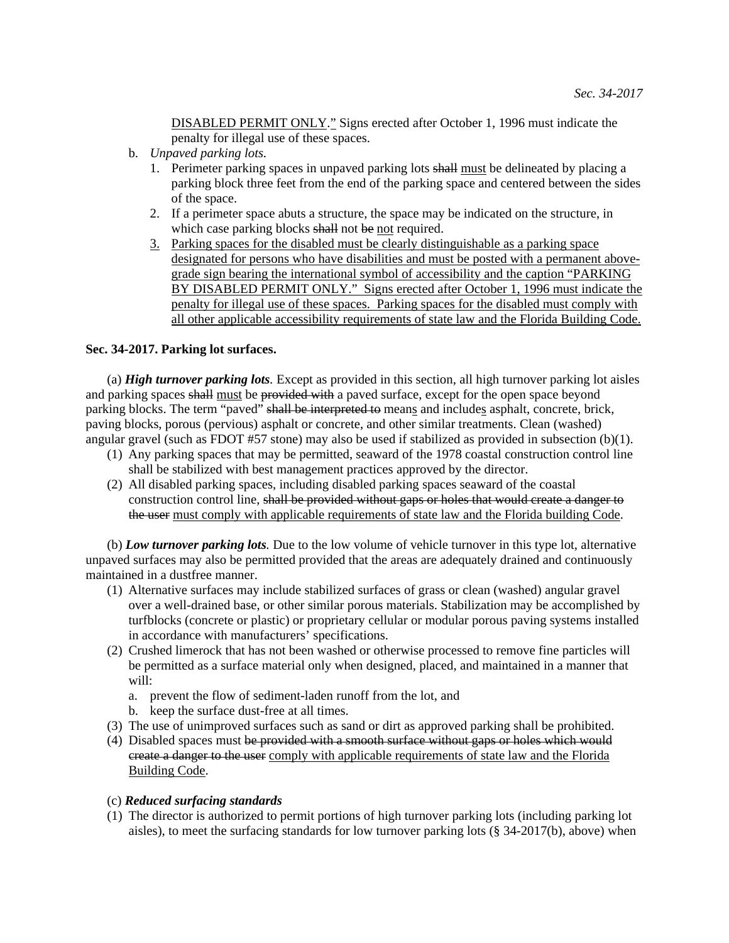DISABLED PERMIT ONLY." Signs erected after October 1, 1996 must indicate the penalty for illegal use of these spaces.

- b. *Unpaved parking lots.*
	- 1. Perimeter parking spaces in unpaved parking lots shall must be delineated by placing a parking block three feet from the end of the parking space and centered between the sides of the space.
	- 2. If a perimeter space abuts a structure, the space may be indicated on the structure, in which case parking blocks shall not be not required.
	- 3. Parking spaces for the disabled must be clearly distinguishable as a parking space designated for persons who have disabilities and must be posted with a permanent abovegrade sign bearing the international symbol of accessibility and the caption "PARKING BY DISABLED PERMIT ONLY." Signs erected after October 1, 1996 must indicate the penalty for illegal use of these spaces. Parking spaces for the disabled must comply with all other applicable accessibility requirements of state law and the Florida Building Code.

## **Sec. 34-2017. Parking lot surfaces.**

 (a) *High turnover parking lots.* Except as provided in this section, all high turnover parking lot aisles and parking spaces shall must be provided with a paved surface, except for the open space beyond parking blocks. The term "paved" shall be interpreted to means and includes asphalt, concrete, brick, paving blocks, porous (pervious) asphalt or concrete, and other similar treatments. Clean (washed) angular gravel (such as FDOT #57 stone) may also be used if stabilized as provided in subsection (b)(1).

- (1) Any parking spaces that may be permitted, seaward of the 1978 coastal construction control line shall be stabilized with best management practices approved by the director.
- (2) All disabled parking spaces, including disabled parking spaces seaward of the coastal construction control line, shall be provided without gaps or holes that would create a danger to the user must comply with applicable requirements of state law and the Florida building Code.

 (b) *Low turnover parking lots.* Due to the low volume of vehicle turnover in this type lot, alternative unpaved surfaces may also be permitted provided that the areas are adequately drained and continuously maintained in a dustfree manner.

- (1) Alternative surfaces may include stabilized surfaces of grass or clean (washed) angular gravel over a well-drained base, or other similar porous materials. Stabilization may be accomplished by turfblocks (concrete or plastic) or proprietary cellular or modular porous paving systems installed in accordance with manufacturers' specifications.
- (2) Crushed limerock that has not been washed or otherwise processed to remove fine particles will be permitted as a surface material only when designed, placed, and maintained in a manner that will:
	- a. prevent the flow of sediment-laden runoff from the lot, and
	- b. keep the surface dust-free at all times.
- (3) The use of unimproved surfaces such as sand or dirt as approved parking shall be prohibited.
- (4) Disabled spaces must be provided with a smooth surface without gaps or holes which would ereate a danger to the user comply with applicable requirements of state law and the Florida Building Code.

## (c) *Reduced surfacing standards*

(1) The director is authorized to permit portions of high turnover parking lots (including parking lot aisles), to meet the surfacing standards for low turnover parking lots (§ 34-2017(b), above) when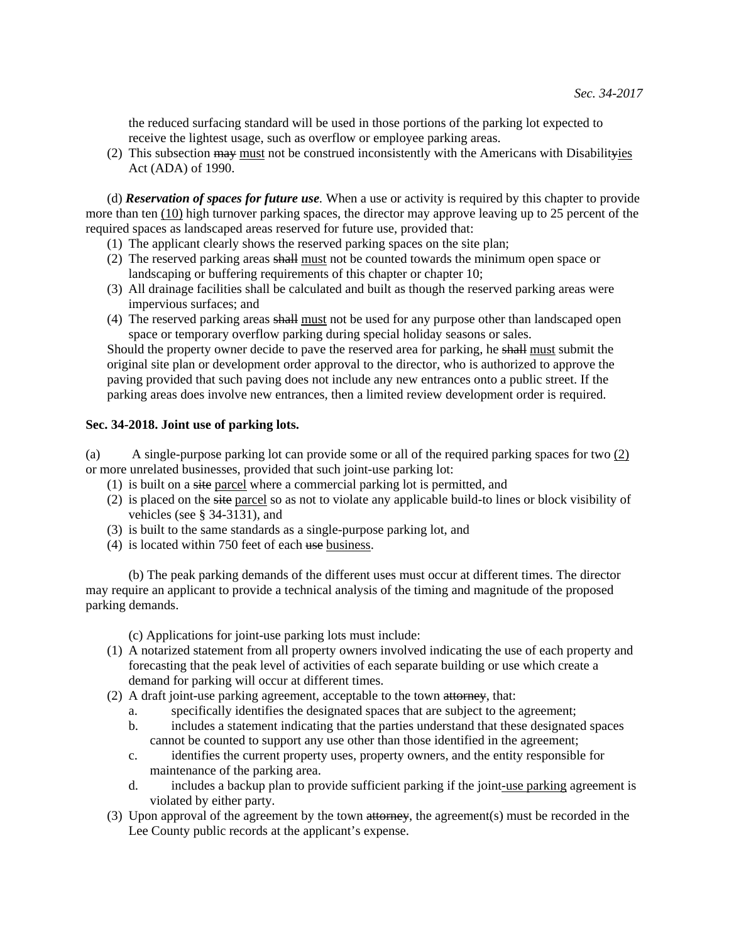the reduced surfacing standard will be used in those portions of the parking lot expected to receive the lightest usage, such as overflow or employee parking areas.

(2) This subsection  $\frac{1}{2}$  must not be construed inconsistently with the Americans with Disabilityies Act (ADA) of 1990.

 (d) *Reservation of spaces for future use.* When a use or activity is required by this chapter to provide more than ten (10) high turnover parking spaces, the director may approve leaving up to 25 percent of the required spaces as landscaped areas reserved for future use, provided that:

- (1) The applicant clearly shows the reserved parking spaces on the site plan;
- (2) The reserved parking areas shall must not be counted towards the minimum open space or landscaping or buffering requirements of this chapter or chapter 10;
- (3) All drainage facilities shall be calculated and built as though the reserved parking areas were impervious surfaces; and
- (4) The reserved parking areas shall must not be used for any purpose other than landscaped open space or temporary overflow parking during special holiday seasons or sales.

Should the property owner decide to pave the reserved area for parking, he shall must submit the original site plan or development order approval to the director, who is authorized to approve the paving provided that such paving does not include any new entrances onto a public street. If the parking areas does involve new entrances, then a limited review development order is required.

#### **Sec. 34-2018. Joint use of parking lots.**

(a) A single-purpose parking lot can provide some or all of the required parking spaces for two (2) or more unrelated businesses, provided that such joint-use parking lot:

- (1) is built on a site parcel where a commercial parking lot is permitted, and
- (2) is placed on the site parcel so as not to violate any applicable build-to lines or block visibility of vehicles (see § 34-3131), and
- (3) is built to the same standards as a single-purpose parking lot, and
- (4) is located within 750 feet of each use business.

 (b) The peak parking demands of the different uses must occur at different times. The director may require an applicant to provide a technical analysis of the timing and magnitude of the proposed parking demands.

(c) Applications for joint-use parking lots must include:

- (1) A notarized statement from all property owners involved indicating the use of each property and forecasting that the peak level of activities of each separate building or use which create a demand for parking will occur at different times.
- (2) A draft joint-use parking agreement, acceptable to the town attorney, that:
	- a. specifically identifies the designated spaces that are subject to the agreement;
	- b. includes a statement indicating that the parties understand that these designated spaces cannot be counted to support any use other than those identified in the agreement;
	- c. identifies the current property uses, property owners, and the entity responsible for maintenance of the parking area.
	- d. includes a backup plan to provide sufficient parking if the joint-use parking agreement is violated by either party.
- (3) Upon approval of the agreement by the town attorney, the agreement(s) must be recorded in the Lee County public records at the applicant's expense.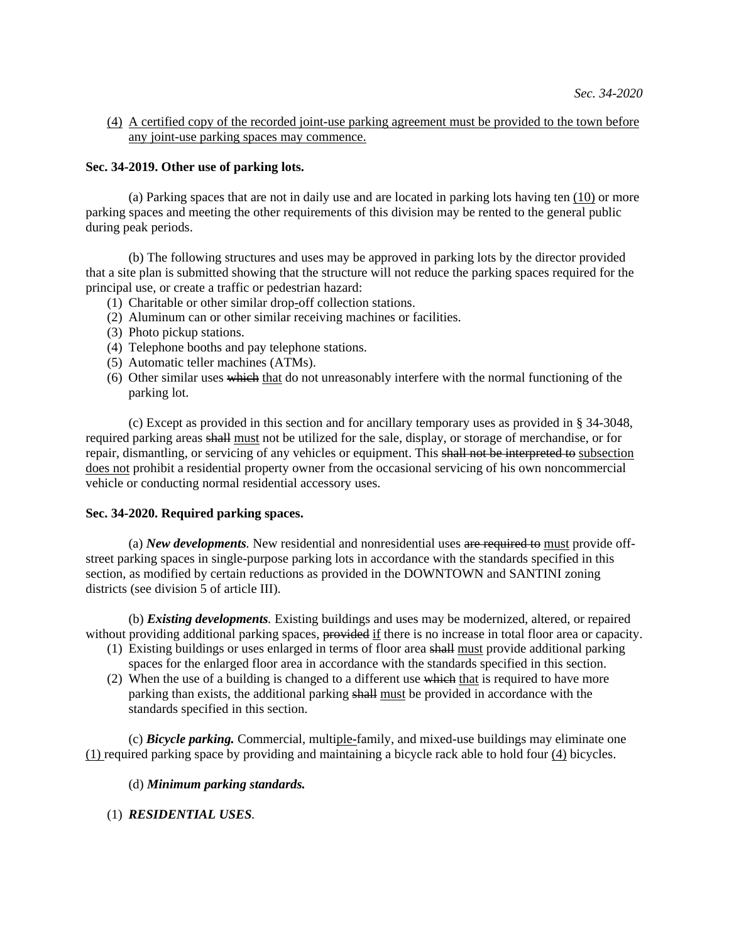# (4) A certified copy of the recorded joint-use parking agreement must be provided to the town before any joint-use parking spaces may commence.

# **Sec. 34-2019. Other use of parking lots.**

 (a) Parking spaces that are not in daily use and are located in parking lots having ten (10) or more parking spaces and meeting the other requirements of this division may be rented to the general public during peak periods.

 (b) The following structures and uses may be approved in parking lots by the director provided that a site plan is submitted showing that the structure will not reduce the parking spaces required for the principal use, or create a traffic or pedestrian hazard:

- (1) Charitable or other similar drop-off collection stations.
- (2) Aluminum can or other similar receiving machines or facilities.
- (3) Photo pickup stations.
- (4) Telephone booths and pay telephone stations.
- (5) Automatic teller machines (ATMs).
- (6) Other similar uses which that do not unreasonably interfere with the normal functioning of the parking lot.

 (c) Except as provided in this section and for ancillary temporary uses as provided in § 34-3048, required parking areas shall must not be utilized for the sale, display, or storage of merchandise, or for repair, dismantling, or servicing of any vehicles or equipment. This shall not be interpreted to subsection does not prohibit a residential property owner from the occasional servicing of his own noncommercial vehicle or conducting normal residential accessory uses.

## **Sec. 34-2020. Required parking spaces.**

 (a) *New developments.* New residential and nonresidential uses are required to must provide offstreet parking spaces in single-purpose parking lots in accordance with the standards specified in this section, as modified by certain reductions as provided in the DOWNTOWN and SANTINI zoning districts (see division 5 of article III).

 (b) *Existing developments.* Existing buildings and uses may be modernized, altered, or repaired without providing additional parking spaces, provided if there is no increase in total floor area or capacity.

- (1) Existing buildings or uses enlarged in terms of floor area shall must provide additional parking spaces for the enlarged floor area in accordance with the standards specified in this section.
- (2) When the use of a building is changed to a different use which that is required to have more parking than exists, the additional parking shall must be provided in accordance with the standards specified in this section.

 (c) *Bicycle parking.* Commercial, multiple-family, and mixed-use buildings may eliminate one (1) required parking space by providing and maintaining a bicycle rack able to hold four (4) bicycles.

## (d) *Minimum parking standards.*

(1) *RESIDENTIAL USES.*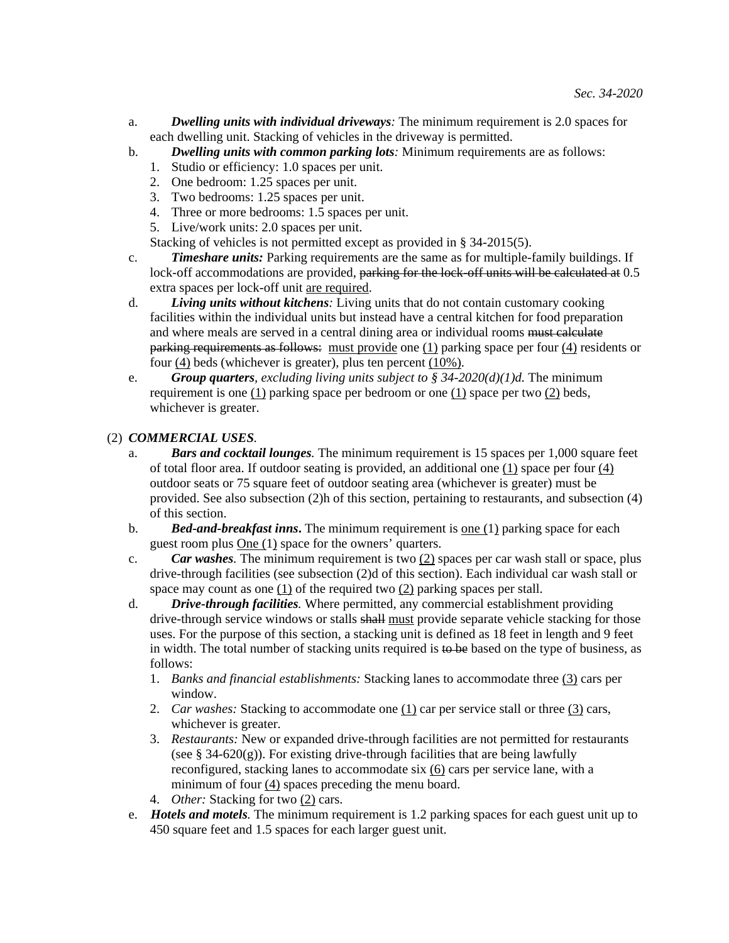- a. *Dwelling units with individual driveways:* The minimum requirement is 2.0 spaces for each dwelling unit. Stacking of vehicles in the driveway is permitted.
- b. *Dwelling units with common parking lots:* Minimum requirements are as follows:
	- 1. Studio or efficiency: 1.0 spaces per unit.
	- 2. One bedroom: 1.25 spaces per unit.
	- 3. Two bedrooms: 1.25 spaces per unit.
	- 4. Three or more bedrooms: 1.5 spaces per unit.
	- 5. Live/work units: 2.0 spaces per unit.

Stacking of vehicles is not permitted except as provided in § 34-2015(5).

c. *Timeshare units:* Parking requirements are the same as for multiple-family buildings. If lock-off accommodations are provided, parking for the lock-off units will be calculated at 0.5 extra spaces per lock-off unit are required.

- d. *Living units without kitchens:* Living units that do not contain customary cooking facilities within the individual units but instead have a central kitchen for food preparation and where meals are served in a central dining area or individual rooms must calculate parking requirements as follows: must provide one (1) parking space per four (4) residents or four (4) beds (whichever is greater), plus ten percent (10%).
- e. *Group quarters, excluding living units subject to § 34-2020(d)(1)d.* **The minimum** requirement is one  $(1)$  parking space per bedroom or one  $(1)$  space per two  $(2)$  beds, whichever is greater.

# (2) *COMMERCIAL USES.*

- a. *Bars and cocktail lounges.* The minimum requirement is 15 spaces per 1,000 square feet of total floor area. If outdoor seating is provided, an additional one (1) space per four (4) outdoor seats or 75 square feet of outdoor seating area (whichever is greater) must be provided. See also subsection (2)h of this section, pertaining to restaurants, and subsection (4) of this section.
- b. *Bed-and-breakfast inns***.** The minimum requirement is one (1) parking space for each guest room plus One (1) space for the owners' quarters.
- c. *Car washes.* The minimum requirement is two (2) spaces per car wash stall or space, plus drive-through facilities (see subsection (2)d of this section). Each individual car wash stall or space may count as one  $(1)$  of the required two  $(2)$  parking spaces per stall.

d. *Drive-through facilities.* Where permitted, any commercial establishment providing drive-through service windows or stalls shall must provide separate vehicle stacking for those uses. For the purpose of this section, a stacking unit is defined as 18 feet in length and 9 feet in width. The total number of stacking units required is  $\theta$  be based on the type of business, as follows:

- 1. *Banks and financial establishments:* Stacking lanes to accommodate three (3) cars per window.
- 2. *Car washes:* Stacking to accommodate one (1) car per service stall or three (3) cars, whichever is greater.
- 3. *Restaurants:* New or expanded drive-through facilities are not permitted for restaurants (see  $\S$  34-620(g)). For existing drive-through facilities that are being lawfully reconfigured, stacking lanes to accommodate six (6) cars per service lane, with a minimum of four  $(4)$  spaces preceding the menu board.
- 4. *Other:* Stacking for two (2) cars.
- e. *Hotels and motels.* The minimum requirement is 1.2 parking spaces for each guest unit up to 450 square feet and 1.5 spaces for each larger guest unit.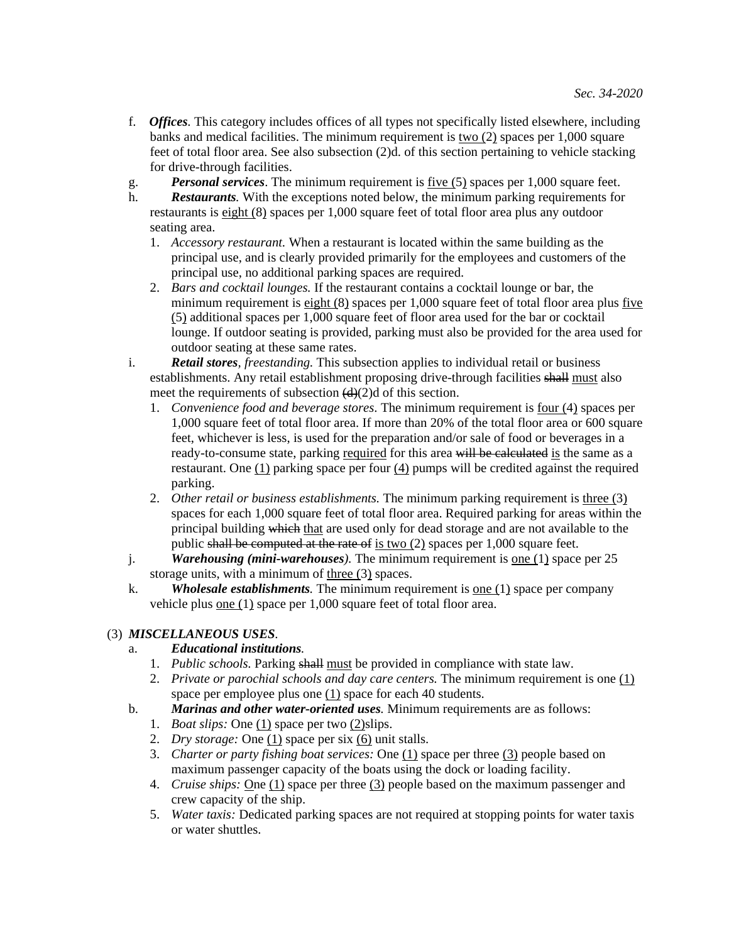- f. *Offices.* This category includes offices of all types not specifically listed elsewhere, including banks and medical facilities. The minimum requirement is two (2) spaces per 1,000 square feet of total floor area. See also subsection (2)d. of this section pertaining to vehicle stacking for drive-through facilities.
- g. *Personal services*. The minimum requirement is five (5) spaces per 1,000 square feet.
- h. *Restaurants.* With the exceptions noted below, the minimum parking requirements for restaurants is eight (8) spaces per 1,000 square feet of total floor area plus any outdoor seating area.
	- 1. *Accessory restaurant.* When a restaurant is located within the same building as the principal use, and is clearly provided primarily for the employees and customers of the principal use, no additional parking spaces are required.
	- 2. *Bars and cocktail lounges.* If the restaurant contains a cocktail lounge or bar, the minimum requirement is eight (8) spaces per 1,000 square feet of total floor area plus five (5) additional spaces per 1,000 square feet of floor area used for the bar or cocktail lounge. If outdoor seating is provided, parking must also be provided for the area used for outdoor seating at these same rates.
- i. *Retail stores, freestanding.* This subsection applies to individual retail or business establishments. Any retail establishment proposing drive-through facilities shall must also meet the requirements of subsection  $(d)(2)d$  of this section.
	- 1. *Convenience food and beverage stores*. The minimum requirement is four (4) spaces per 1,000 square feet of total floor area. If more than 20% of the total floor area or 600 square feet, whichever is less, is used for the preparation and/or sale of food or beverages in a ready-to-consume state, parking required for this area will be calculated is the same as a restaurant. One (1) parking space per four (4) pumps will be credited against the required parking.
	- 2. *Other retail or business establishments*. The minimum parking requirement is three (3) spaces for each 1,000 square feet of total floor area. Required parking for areas within the principal building which that are used only for dead storage and are not available to the public shall be computed at the rate of is two (2) spaces per 1,000 square feet.
- j. *Warehousing (mini-warehouses).* The minimum requirement is one (1) space per 25 storage units, with a minimum of three (3) spaces.
- k. *Wholesale establishments.* The minimum requirement is one (1) space per company vehicle plus one (1) space per 1,000 square feet of total floor area.

# (3) *MISCELLANEOUS USES.*

# a. *Educational institutions.*

- 1. *Public schools.* Parking shall must be provided in compliance with state law.
- 2. *Private or parochial schools and day care centers.* The minimum requirement is one (1) space per employee plus one (1) space for each 40 students.
- b. *Marinas and other water-oriented uses.* Minimum requirements are as follows:
	- 1. *Boat slips:* One (1) space per two (2)slips.
	- 2. *Dry storage:* One  $(1)$  space per six  $(6)$  unit stalls.
	- 3. *Charter or party fishing boat services:* One (1) space per three (3) people based on maximum passenger capacity of the boats using the dock or loading facility.
	- 4. *Cruise ships:* One (1) space per three (3) people based on the maximum passenger and crew capacity of the ship.
	- 5. *Water taxis:* Dedicated parking spaces are not required at stopping points for water taxis or water shuttles.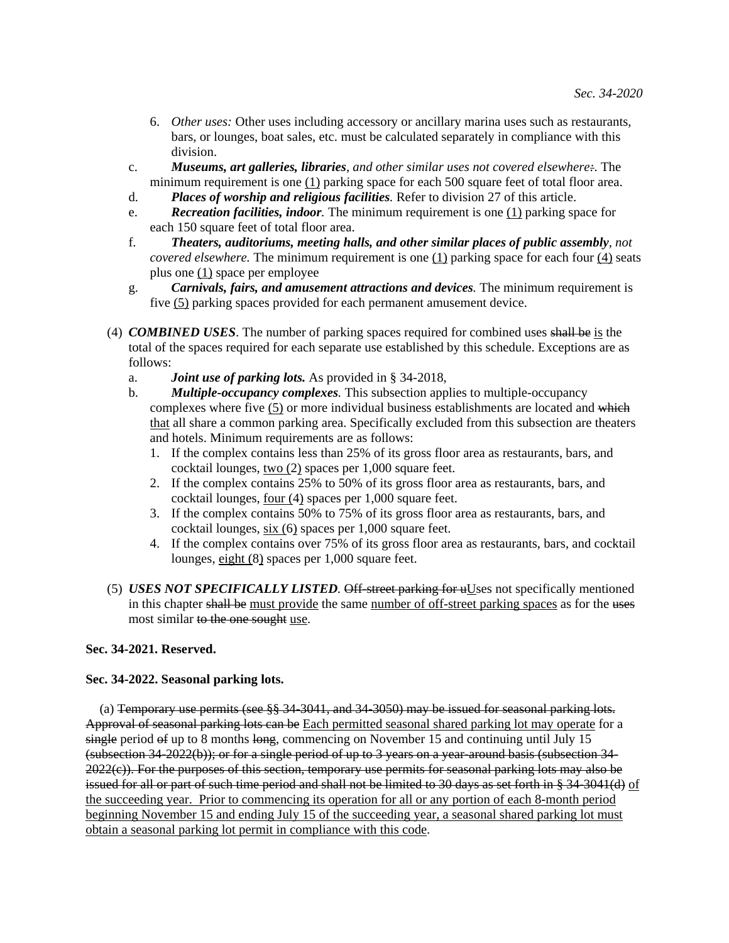- 6. *Other uses:* Other uses including accessory or ancillary marina uses such as restaurants, bars, or lounges, boat sales, etc. must be calculated separately in compliance with this division.
- c. *Museums, art galleries, libraries, and other similar uses not covered elsewhere:*. The minimum requirement is one (1) parking space for each 500 square feet of total floor area.
- d. *Places of worship and religious facilities.* Refer to division 27 of this article.
- e. *Recreation facilities, indoor.* The minimum requirement is one (1) parking space for each 150 square feet of total floor area.
- f. *Theaters, auditoriums, meeting halls, and other similar places of public assembly, not covered elsewhere.* The minimum requirement is one (1) parking space for each four (4) seats plus one (1) space per employee
- g. *Carnivals, fairs, and amusement attractions and devices.* The minimum requirement is five (5) parking spaces provided for each permanent amusement device.
- (4) *COMBINED USES*. The number of parking spaces required for combined uses shall be is the total of the spaces required for each separate use established by this schedule. Exceptions are as follows:
	- a. *Joint use of parking lots.* As provided in § 34-2018,
	- b. *Multiple-occupancy complexes.* This subsection applies to multiple-occupancy complexes where five (5) or more individual business establishments are located and which that all share a common parking area. Specifically excluded from this subsection are theaters and hotels. Minimum requirements are as follows:
		- 1. If the complex contains less than 25% of its gross floor area as restaurants, bars, and cocktail lounges, two (2) spaces per 1,000 square feet.
		- 2. If the complex contains 25% to 50% of its gross floor area as restaurants, bars, and cocktail lounges, four (4) spaces per 1,000 square feet.
		- 3. If the complex contains 50% to 75% of its gross floor area as restaurants, bars, and cocktail lounges, six (6) spaces per 1,000 square feet.
		- 4. If the complex contains over 75% of its gross floor area as restaurants, bars, and cocktail lounges, eight (8) spaces per 1,000 square feet.
- (5) *USES NOT SPECIFICALLY LISTED*. Off-street parking for uUses not specifically mentioned in this chapter shall be must provide the same number of off-street parking spaces as for the uses most similar to the one sought use.

# **Sec. 34-2021. Reserved.**

## **Sec. 34-2022. Seasonal parking lots.**

 (a) Temporary use permits (see §§ 34-3041, and 34-3050) may be issued for seasonal parking lots. Approval of seasonal parking lots can be Each permitted seasonal shared parking lot may operate for a single period  $\theta$  up to 8 months long, commencing on November 15 and continuing until July 15 (subsection 34-2022(b)); or for a single period of up to 3 years on a year-around basis (subsection 34- 2022(c)). For the purposes of this section, temporary use permits for seasonal parking lots may also be issued for all or part of such time period and shall not be limited to 30 days as set forth in § 34-3041(d) of the succeeding year. Prior to commencing its operation for all or any portion of each 8-month period beginning November 15 and ending July 15 of the succeeding year, a seasonal shared parking lot must obtain a seasonal parking lot permit in compliance with this code.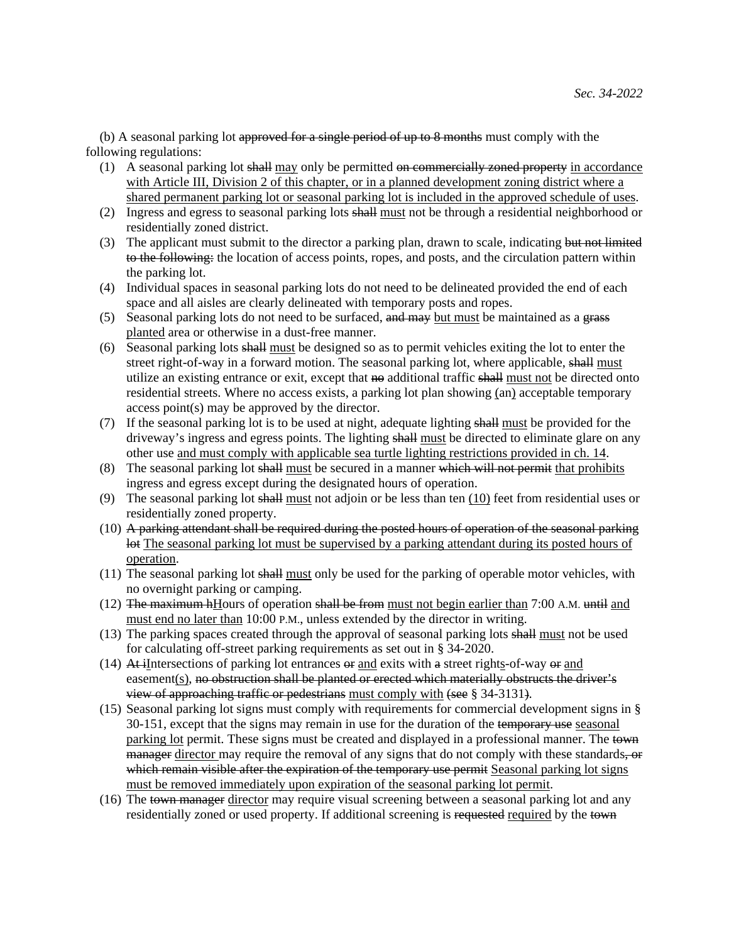(b) A seasonal parking lot approved for a single period of up to 8 months must comply with the following regulations:

- (1) A seasonal parking lot shall may only be permitted on commercially zoned property in accordance with Article III, Division 2 of this chapter, or in a planned development zoning district where a shared permanent parking lot or seasonal parking lot is included in the approved schedule of uses.
- (2) Ingress and egress to seasonal parking lots shall must not be through a residential neighborhood or residentially zoned district.
- (3) The applicant must submit to the director a parking plan, drawn to scale, indicating but not limited to the following: the location of access points, ropes, and posts, and the circulation pattern within the parking lot.
- (4) Individual spaces in seasonal parking lots do not need to be delineated provided the end of each space and all aisles are clearly delineated with temporary posts and ropes.
- (5) Seasonal parking lots do not need to be surfaced, and may but must be maintained as a grass planted area or otherwise in a dust-free manner.
- (6) Seasonal parking lots shall must be designed so as to permit vehicles exiting the lot to enter the street right-of-way in a forward motion. The seasonal parking lot, where applicable, shall must utilize an existing entrance or exit, except that no additional traffic shall must not be directed onto residential streets. Where no access exists, a parking lot plan showing (an) acceptable temporary access point(s) may be approved by the director.
- (7) If the seasonal parking lot is to be used at night, adequate lighting shall must be provided for the driveway's ingress and egress points. The lighting shall must be directed to eliminate glare on any other use and must comply with applicable sea turtle lighting restrictions provided in ch. 14.
- (8) The seasonal parking lot shall must be secured in a manner which will not permit that prohibits ingress and egress except during the designated hours of operation.
- (9) The seasonal parking lot shall must not adjoin or be less than ten  $(10)$  feet from residential uses or residentially zoned property.
- (10) A parking attendant shall be required during the posted hours of operation of the seasonal parking lot The seasonal parking lot must be supervised by a parking attendant during its posted hours of operation.
- (11) The seasonal parking lot shall must only be used for the parking of operable motor vehicles, with no overnight parking or camping.
- $(12)$  The maximum hHours of operation shall be from must not begin earlier than 7:00 A.M. until and must end no later than 10:00 P.M., unless extended by the director in writing.
- (13) The parking spaces created through the approval of seasonal parking lots shall must not be used for calculating off-street parking requirements as set out in § 34-2020.
- $(14)$  At iIntersections of parking lot entrances  $\Theta$  and exits with a street rights-of-way  $\Theta$  and easement(s), no obstruction shall be planted or erected which materially obstructs the driver's view of approaching traffic or pedestrians must comply with (see § 34-3131).
- (15) Seasonal parking lot signs must comply with requirements for commercial development signs in § 30-151, except that the signs may remain in use for the duration of the temporary use seasonal parking lot permit. These signs must be created and displayed in a professional manner. The town manager director may require the removal of any signs that do not comply with these standards, or which remain visible after the expiration of the temporary use permit Seasonal parking lot signs must be removed immediately upon expiration of the seasonal parking lot permit.
- (16) The town manager director may require visual screening between a seasonal parking lot and any residentially zoned or used property. If additional screening is requested required by the town